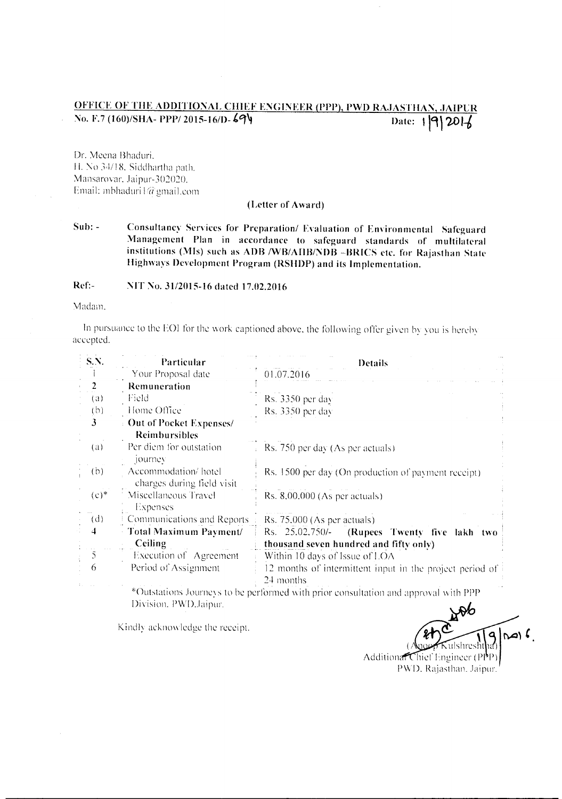## OFFICE OF THE ADDITIONAL CHIEF ENGINEER (PPP), PWD RAJASTHAN, JAIPUR Date:  $1|9|20|$ No. F.7 (160)/SHA- PPP/2015-16/D-694

Dr. Meena Bhaduri, H. No 34/18, Siddhartha path. Mansarovar, Jaipur-302020. Email: mbhaduri1@gmail.com

## (Letter of Award)

 $Sub: -$ Consultancy Services for Preparation/ Evaluation of Environmental Safeguard Management Plan in accordance to safeguard standards of multilateral institutions (MIs) such as ADB /WB/AIIB/NDB -BRICS etc. for Rajasthan State Highways Development Program (RSHDP) and its Implementation.

Ref:-NIT No. 31/2015-16 dated 17.02.2016

Madam.

In pursuance to the EOI for the work captioned above, the following offer given by you is hereby accepted.

| S.N.           | Particular                                        | <b>Details</b>                                                                      |
|----------------|---------------------------------------------------|-------------------------------------------------------------------------------------|
|                | Your Proposal date                                | 01.07.2016                                                                          |
| $\overline{2}$ | Remuneration                                      |                                                                                     |
| (a)            | Field                                             | $Rs. 3350$ per day                                                                  |
| (b)            | Home Office                                       | Rs. 3350 per day                                                                    |
| 3              | Out of Pocket Expenses/<br><b>Reimbursibles</b>   |                                                                                     |
| (a)            | Per diem for outstation<br>journey                | Rs. 750 per day (As per actuals)                                                    |
| (b)            | Accommodation/hotel<br>charges during field visit | Rs. 1500 per day (On production of payment receipt)                                 |
| $(c)$ *        | Miscellaneous Travel<br>Expenses                  | Rs. $8,00,000$ (As per actuals)                                                     |
| (d)            | Communications and Reports                        | Rs. 75,000 (As per actuals)                                                         |
| 4              | <b>Total Maximum Payment/</b>                     | (Rupees Twenty five lakh two<br>Rs. 25.02.750/-                                     |
|                | Ceiling                                           | thousand seven hundred and fifty only)                                              |
| 5              | Execution of Agreement                            | Within 10 days of Issue of LOA                                                      |
| 6              | Period of Assignment                              | 12 months of intermittent input in the project period of<br>24 months               |
|                |                                                   | *Outstations Journeys to be performed with prior consultation and approval with PPP |

Division, PWD, Jaipur,

Kindly acknowledge the receipt.

 $\sim$ Additional Chief Engineer (PPP) PWD, Rajasthan, Jaipur.